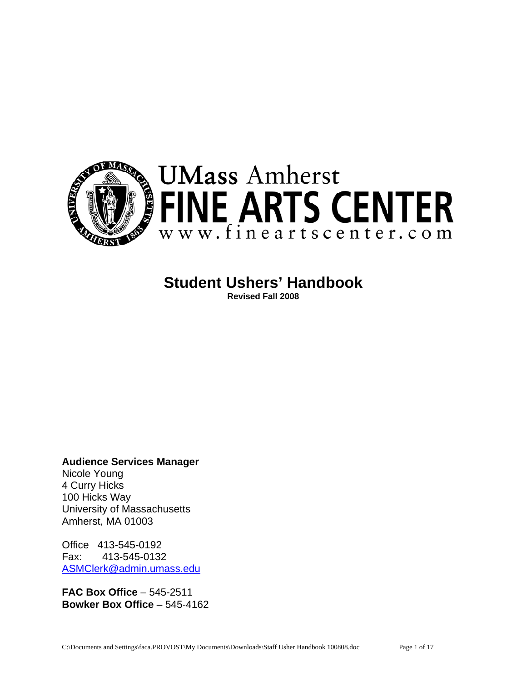

# **Student Ushers' Handbook**

**Revised Fall 2008** 

**Audience Services Manager** 

Nicole Young 4 Curry Hicks 100 Hicks Way University of Massachusetts Amherst, MA 01003

Office 413-545-0192 Fax: 413-545-0132 [ASMClerk@admin.umass.edu](mailto:ASMClerk@admin.umass.edu)

**FAC Box Office** – 545-2511 **Bowker Box Office** – 545-4162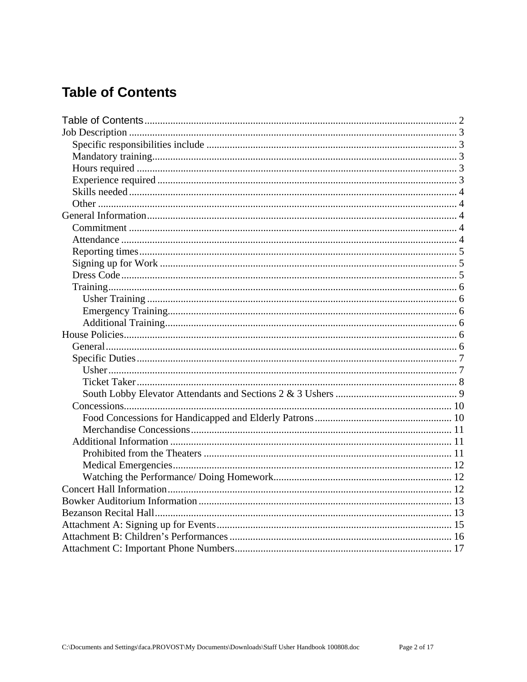# <span id="page-1-0"></span>**Table of Contents**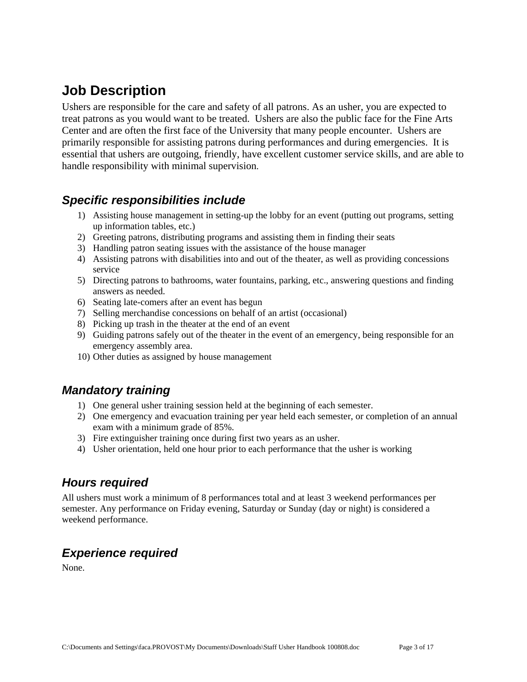# <span id="page-2-0"></span>**Job Description**

Ushers are responsible for the care and safety of all patrons. As an usher, you are expected to treat patrons as you would want to be treated. Ushers are also the public face for the Fine Arts Center and are often the first face of the University that many people encounter. Ushers are primarily responsible for assisting patrons during performances and during emergencies. It is essential that ushers are outgoing, friendly, have excellent customer service skills, and are able to handle responsibility with minimal supervision.

### <span id="page-2-1"></span>*Specific responsibilities include*

- 1) Assisting house management in setting-up the lobby for an event (putting out programs, setting up information tables, etc.)
- 2) Greeting patrons, distributing programs and assisting them in finding their seats
- 3) Handling patron seating issues with the assistance of the house manager
- 4) Assisting patrons with disabilities into and out of the theater, as well as providing concessions service
- 5) Directing patrons to bathrooms, water fountains, parking, etc., answering questions and finding answers as needed.
- 6) Seating late-comers after an event has begun
- 7) Selling merchandise concessions on behalf of an artist (occasional)
- 8) Picking up trash in the theater at the end of an event
- 9) Guiding patrons safely out of the theater in the event of an emergency, being responsible for an emergency assembly area.
- 10) Other duties as assigned by house management

## <span id="page-2-2"></span>*Mandatory training*

- 1) One general usher training session held at the beginning of each semester.
- 2) One emergency and evacuation training per year held each semester, or completion of an annual exam with a minimum grade of 85%.
- 3) Fire extinguisher training once during first two years as an usher.
- 4) Usher orientation, held one hour prior to each performance that the usher is working

## <span id="page-2-3"></span>*Hours required*

All ushers must work a minimum of 8 performances total and at least 3 weekend performances per semester. Any performance on Friday evening, Saturday or Sunday (day or night) is considered a weekend performance.

## <span id="page-2-4"></span>*Experience required*

None.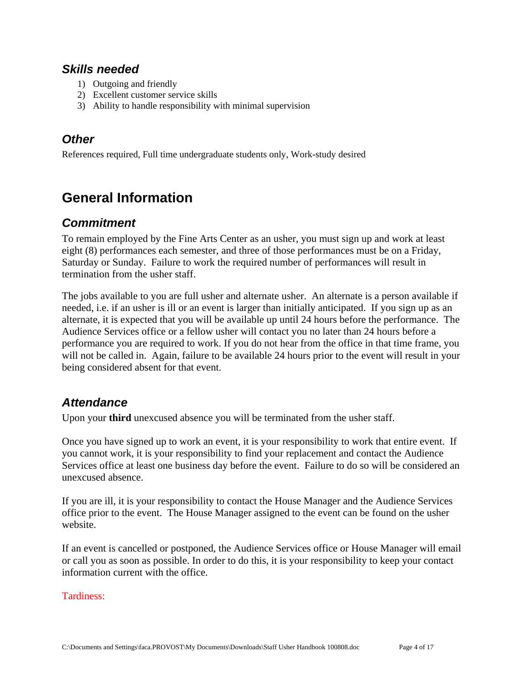### <span id="page-3-0"></span>*Skills needed*

- 1) Outgoing and friendly
- 2) Excellent customer service skills
- 3) Ability to handle responsibility with minimal supervision

## <span id="page-3-1"></span>*Other*

References required, Full time undergraduate students only, Work-study desired

# <span id="page-3-2"></span>**General Information**

## <span id="page-3-3"></span>*Commitment*

To remain employed by the Fine Arts Center as an usher, you must sign up and work at least eight (8) performances each semester, and three of those performances must be on a Friday, Saturday or Sunday. Failure to work the required number of performances will result in termination from the usher staff.

The jobs available to you are full usher and alternate usher. An alternate is a person available if needed, i.e. if an usher is ill or an event is larger than initially anticipated. If you sign up as an alternate, it is expected that you will be available up until 24 hours before the performance. The Audience Services office or a fellow usher will contact you no later than 24 hours before a performance you are required to work. If you do not hear from the office in that time frame, you will not be called in. Again, failure to be available 24 hours prior to the event will result in your being considered absent for that event.

## <span id="page-3-4"></span>*Attendance*

Upon your **third** unexcused absence you will be terminated from the usher staff.

Once you have signed up to work an event, it is your responsibility to work that entire event. If you cannot work, it is your responsibility to find your replacement and contact the Audience Services office at least one business day before the event. Failure to do so will be considered an unexcused absence.

If you are ill, it is your responsibility to contact the House Manager and the Audience Services office prior to the event. The House Manager assigned to the event can be found on the usher website.

If an event is cancelled or postponed, the Audience Services office or House Manager will email or call you as soon as possible. In order to do this, it is your responsibility to keep your contact information current with the office.

#### Tardiness: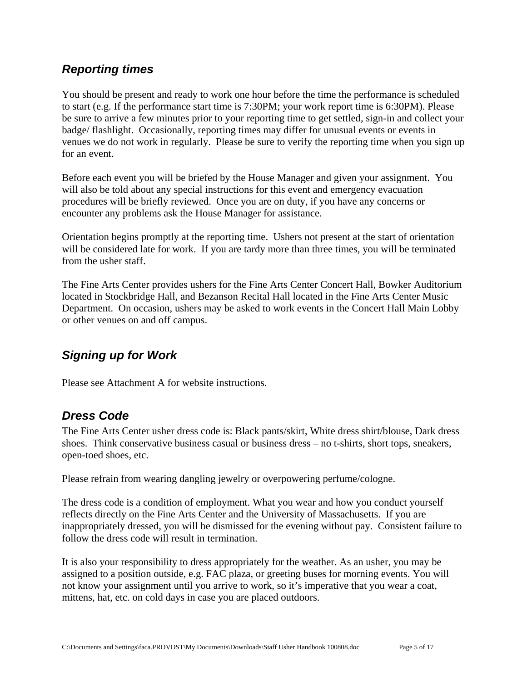## <span id="page-4-0"></span>*Reporting times*

You should be present and ready to work one hour before the time the performance is scheduled to start (e.g. If the performance start time is 7:30PM; your work report time is 6:30PM). Please be sure to arrive a few minutes prior to your reporting time to get settled, sign-in and collect your badge/ flashlight. Occasionally, reporting times may differ for unusual events or events in venues we do not work in regularly. Please be sure to verify the reporting time when you sign up for an event.

Before each event you will be briefed by the House Manager and given your assignment. You will also be told about any special instructions for this event and emergency evacuation procedures will be briefly reviewed. Once you are on duty, if you have any concerns or encounter any problems ask the House Manager for assistance.

Orientation begins promptly at the reporting time. Ushers not present at the start of orientation will be considered late for work. If you are tardy more than three times, you will be terminated from the usher staff.

The Fine Arts Center provides ushers for the Fine Arts Center Concert Hall, Bowker Auditorium located in Stockbridge Hall, and Bezanson Recital Hall located in the Fine Arts Center Music Department. On occasion, ushers may be asked to work events in the Concert Hall Main Lobby or other venues on and off campus.

## <span id="page-4-1"></span>*Signing up for Work*

Please see Attachment A for website instructions.

## <span id="page-4-2"></span>*Dress Code*

The Fine Arts Center usher dress code is: Black pants/skirt, White dress shirt/blouse, Dark dress shoes. Think conservative business casual or business dress – no t-shirts, short tops, sneakers, open-toed shoes, etc.

Please refrain from wearing dangling jewelry or overpowering perfume/cologne.

The dress code is a condition of employment. What you wear and how you conduct yourself reflects directly on the Fine Arts Center and the University of Massachusetts. If you are inappropriately dressed, you will be dismissed for the evening without pay. Consistent failure to follow the dress code will result in termination.

It is also your responsibility to dress appropriately for the weather. As an usher, you may be assigned to a position outside, e.g. FAC plaza, or greeting buses for morning events. You will not know your assignment until you arrive to work, so it's imperative that you wear a coat, mittens, hat, etc. on cold days in case you are placed outdoors.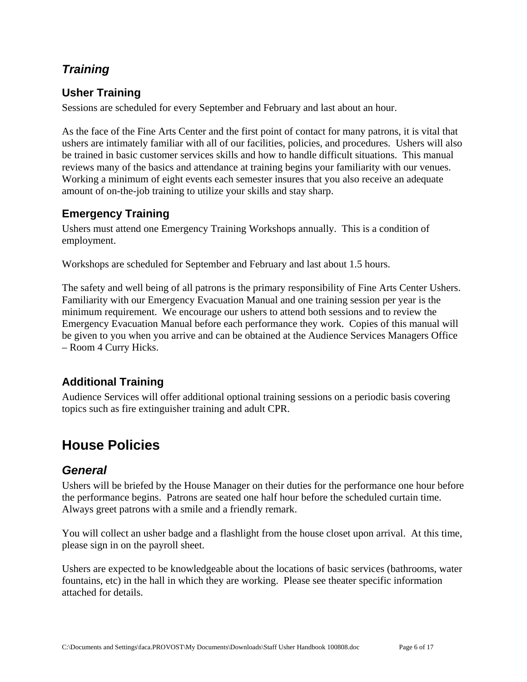## <span id="page-5-0"></span>*Training*

## <span id="page-5-1"></span>**Usher Training**

Sessions are scheduled for every September and February and last about an hour.

As the face of the Fine Arts Center and the first point of contact for many patrons, it is vital that ushers are intimately familiar with all of our facilities, policies, and procedures. Ushers will also be trained in basic customer services skills and how to handle difficult situations. This manual reviews many of the basics and attendance at training begins your familiarity with our venues. Working a minimum of eight events each semester insures that you also receive an adequate amount of on-the-job training to utilize your skills and stay sharp.

### <span id="page-5-2"></span>**Emergency Training**

Ushers must attend one Emergency Training Workshops annually. This is a condition of employment.

Workshops are scheduled for September and February and last about 1.5 hours.

The safety and well being of all patrons is the primary responsibility of Fine Arts Center Ushers. Familiarity with our Emergency Evacuation Manual and one training session per year is the minimum requirement. We encourage our ushers to attend both sessions and to review the Emergency Evacuation Manual before each performance they work. Copies of this manual will be given to you when you arrive and can be obtained at the Audience Services Managers Office – Room 4 Curry Hicks.

## <span id="page-5-3"></span>**Additional Training**

Audience Services will offer additional optional training sessions on a periodic basis covering topics such as fire extinguisher training and adult CPR.

# <span id="page-5-4"></span>**House Policies**

## <span id="page-5-5"></span>*General*

Ushers will be briefed by the House Manager on their duties for the performance one hour before the performance begins. Patrons are seated one half hour before the scheduled curtain time. Always greet patrons with a smile and a friendly remark.

You will collect an usher badge and a flashlight from the house closet upon arrival. At this time, please sign in on the payroll sheet.

Ushers are expected to be knowledgeable about the locations of basic services (bathrooms, water fountains, etc) in the hall in which they are working. Please see theater specific information attached for details.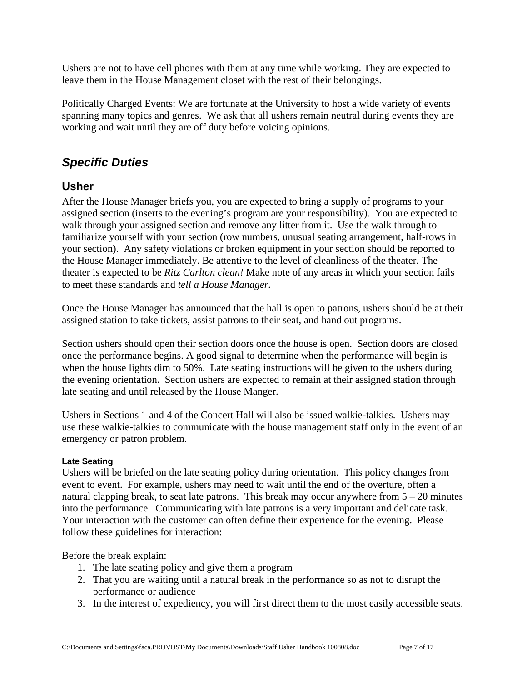Ushers are not to have cell phones with them at any time while working. They are expected to leave them in the House Management closet with the rest of their belongings.

Politically Charged Events: We are fortunate at the University to host a wide variety of events spanning many topics and genres. We ask that all ushers remain neutral during events they are working and wait until they are off duty before voicing opinions.

## <span id="page-6-0"></span>*Specific Duties*

### <span id="page-6-1"></span>**Usher**

After the House Manager briefs you, you are expected to bring a supply of programs to your assigned section (inserts to the evening's program are your responsibility). You are expected to walk through your assigned section and remove any litter from it. Use the walk through to familiarize yourself with your section (row numbers, unusual seating arrangement, half-rows in your section). Any safety violations or broken equipment in your section should be reported to the House Manager immediately. Be attentive to the level of cleanliness of the theater. The theater is expected to be *Ritz Carlton clean!* Make note of any areas in which your section fails to meet these standards and *tell a House Manager.*

Once the House Manager has announced that the hall is open to patrons, ushers should be at their assigned station to take tickets, assist patrons to their seat, and hand out programs.

Section ushers should open their section doors once the house is open. Section doors are closed once the performance begins. A good signal to determine when the performance will begin is when the house lights dim to 50%. Late seating instructions will be given to the ushers during the evening orientation. Section ushers are expected to remain at their assigned station through late seating and until released by the House Manger.

Ushers in Sections 1 and 4 of the Concert Hall will also be issued walkie-talkies. Ushers may use these walkie-talkies to communicate with the house management staff only in the event of an emergency or patron problem.

#### **Late Seating**

Ushers will be briefed on the late seating policy during orientation. This policy changes from event to event. For example, ushers may need to wait until the end of the overture, often a natural clapping break, to seat late patrons. This break may occur anywhere from  $5 - 20$  minutes into the performance. Communicating with late patrons is a very important and delicate task. Your interaction with the customer can often define their experience for the evening. Please follow these guidelines for interaction:

Before the break explain:

- 1. The late seating policy and give them a program
- 2. That you are waiting until a natural break in the performance so as not to disrupt the performance or audience
- 3. In the interest of expediency, you will first direct them to the most easily accessible seats.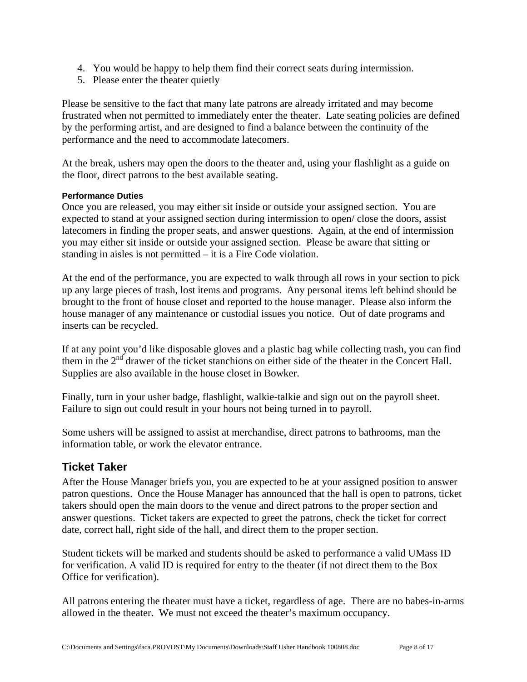- 4. You would be happy to help them find their correct seats during intermission.
- 5. Please enter the theater quietly

Please be sensitive to the fact that many late patrons are already irritated and may become frustrated when not permitted to immediately enter the theater. Late seating policies are defined by the performing artist, and are designed to find a balance between the continuity of the performance and the need to accommodate latecomers.

At the break, ushers may open the doors to the theater and, using your flashlight as a guide on the floor, direct patrons to the best available seating.

#### **Performance Duties**

Once you are released, you may either sit inside or outside your assigned section. You are expected to stand at your assigned section during intermission to open/ close the doors, assist latecomers in finding the proper seats, and answer questions. Again, at the end of intermission you may either sit inside or outside your assigned section. Please be aware that sitting or standing in aisles is not permitted – it is a Fire Code violation.

At the end of the performance, you are expected to walk through all rows in your section to pick up any large pieces of trash, lost items and programs. Any personal items left behind should be brought to the front of house closet and reported to the house manager. Please also inform the house manager of any maintenance or custodial issues you notice. Out of date programs and inserts can be recycled.

If at any point you'd like disposable gloves and a plastic bag while collecting trash, you can find them in the 2<sup>nd</sup> drawer of the ticket stanchions on either side of the theater in the Concert Hall. Supplies are also available in the house closet in Bowker.

Finally, turn in your usher badge, flashlight, walkie-talkie and sign out on the payroll sheet. Failure to sign out could result in your hours not being turned in to payroll.

Some ushers will be assigned to assist at merchandise, direct patrons to bathrooms, man the information table, or work the elevator entrance.

### <span id="page-7-0"></span>**Ticket Taker**

After the House Manager briefs you, you are expected to be at your assigned position to answer patron questions. Once the House Manager has announced that the hall is open to patrons, ticket takers should open the main doors to the venue and direct patrons to the proper section and answer questions. Ticket takers are expected to greet the patrons, check the ticket for correct date, correct hall, right side of the hall, and direct them to the proper section.

Student tickets will be marked and students should be asked to performance a valid UMass ID for verification. A valid ID is required for entry to the theater (if not direct them to the Box Office for verification).

All patrons entering the theater must have a ticket, regardless of age. There are no babes-in-arms allowed in the theater. We must not exceed the theater's maximum occupancy.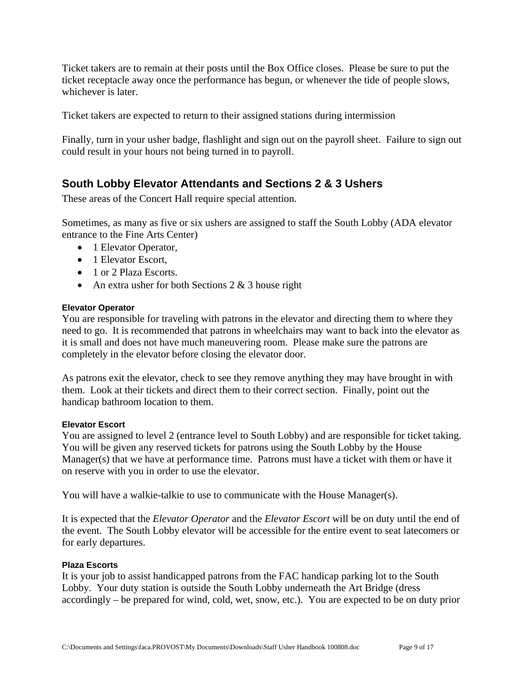Ticket takers are to remain at their posts until the Box Office closes. Please be sure to put the ticket receptacle away once the performance has begun, or whenever the tide of people slows, whichever is later.

Ticket takers are expected to return to their assigned stations during intermission

Finally, turn in your usher badge, flashlight and sign out on the payroll sheet. Failure to sign out could result in your hours not being turned in to payroll.

### <span id="page-8-0"></span>**South Lobby Elevator Attendants and Sections 2 & 3 Ushers**

These areas of the Concert Hall require special attention.

Sometimes, as many as five or six ushers are assigned to staff the South Lobby (ADA elevator entrance to the Fine Arts Center)

- 1 Elevator Operator,
- 1 Elevator Escort,
- 1 or 2 Plaza Escorts.
- An extra usher for both Sections  $2 & 3$  house right

#### **Elevator Operator**

You are responsible for traveling with patrons in the elevator and directing them to where they need to go. It is recommended that patrons in wheelchairs may want to back into the elevator as it is small and does not have much maneuvering room. Please make sure the patrons are completely in the elevator before closing the elevator door.

As patrons exit the elevator, check to see they remove anything they may have brought in with them. Look at their tickets and direct them to their correct section. Finally, point out the handicap bathroom location to them.

#### **Elevator Escort**

You are assigned to level 2 (entrance level to South Lobby) and are responsible for ticket taking. You will be given any reserved tickets for patrons using the South Lobby by the House Manager(s) that we have at performance time. Patrons must have a ticket with them or have it on reserve with you in order to use the elevator.

You will have a walkie-talkie to use to communicate with the House Manager(s).

It is expected that the *Elevator Operator* and the *Elevator Escort* will be on duty until the end of the event. The South Lobby elevator will be accessible for the entire event to seat latecomers or for early departures.

#### **Plaza Escorts**

It is your job to assist handicapped patrons from the FAC handicap parking lot to the South Lobby. Your duty station is outside the South Lobby underneath the Art Bridge (dress accordingly – be prepared for wind, cold, wet, snow, etc.). You are expected to be on duty prior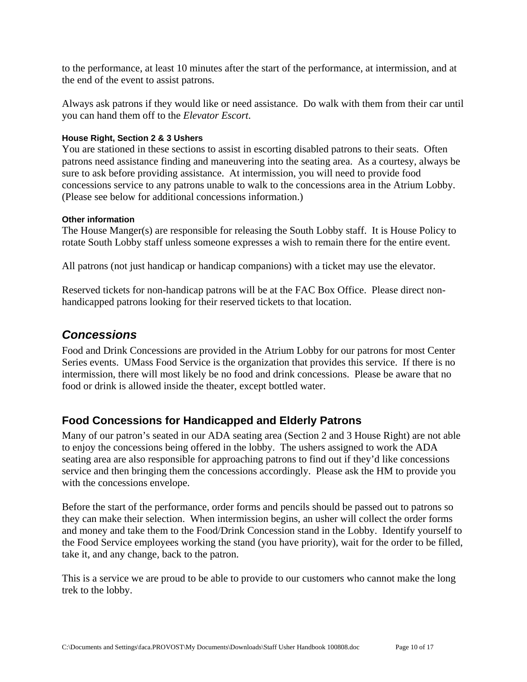to the performance, at least 10 minutes after the start of the performance, at intermission, and at the end of the event to assist patrons.

Always ask patrons if they would like or need assistance. Do walk with them from their car until you can hand them off to the *Elevator Escort*.

#### **House Right, Section 2 & 3 Ushers**

You are stationed in these sections to assist in escorting disabled patrons to their seats. Often patrons need assistance finding and maneuvering into the seating area. As a courtesy, always be sure to ask before providing assistance. At intermission, you will need to provide food concessions service to any patrons unable to walk to the concessions area in the Atrium Lobby. (Please see below for additional concessions information.)

#### **Other information**

The House Manger(s) are responsible for releasing the South Lobby staff. It is House Policy to rotate South Lobby staff unless someone expresses a wish to remain there for the entire event.

All patrons (not just handicap or handicap companions) with a ticket may use the elevator.

Reserved tickets for non-handicap patrons will be at the FAC Box Office. Please direct nonhandicapped patrons looking for their reserved tickets to that location.

### <span id="page-9-0"></span>*Concessions*

Food and Drink Concessions are provided in the Atrium Lobby for our patrons for most Center Series events. UMass Food Service is the organization that provides this service. If there is no intermission, there will most likely be no food and drink concessions. Please be aware that no food or drink is allowed inside the theater, except bottled water.

### <span id="page-9-1"></span>**Food Concessions for Handicapped and Elderly Patrons**

Many of our patron's seated in our ADA seating area (Section 2 and 3 House Right) are not able to enjoy the concessions being offered in the lobby. The ushers assigned to work the ADA seating area are also responsible for approaching patrons to find out if they'd like concessions service and then bringing them the concessions accordingly. Please ask the HM to provide you with the concessions envelope.

Before the start of the performance, order forms and pencils should be passed out to patrons so they can make their selection. When intermission begins, an usher will collect the order forms and money and take them to the Food/Drink Concession stand in the Lobby. Identify yourself to the Food Service employees working the stand (you have priority), wait for the order to be filled, take it, and any change, back to the patron.

This is a service we are proud to be able to provide to our customers who cannot make the long trek to the lobby.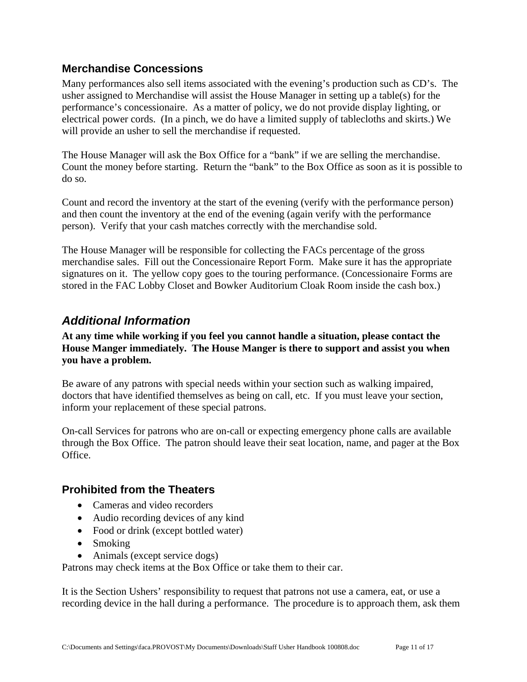### <span id="page-10-0"></span>**Merchandise Concessions**

Many performances also sell items associated with the evening's production such as CD's. The usher assigned to Merchandise will assist the House Manager in setting up a table(s) for the performance's concessionaire. As a matter of policy, we do not provide display lighting, or electrical power cords. (In a pinch, we do have a limited supply of tablecloths and skirts.) We will provide an usher to sell the merchandise if requested.

The House Manager will ask the Box Office for a "bank" if we are selling the merchandise. Count the money before starting. Return the "bank" to the Box Office as soon as it is possible to do so.

Count and record the inventory at the start of the evening (verify with the performance person) and then count the inventory at the end of the evening (again verify with the performance person). Verify that your cash matches correctly with the merchandise sold.

The House Manager will be responsible for collecting the FACs percentage of the gross merchandise sales. Fill out the Concessionaire Report Form. Make sure it has the appropriate signatures on it. The yellow copy goes to the touring performance. (Concessionaire Forms are stored in the FAC Lobby Closet and Bowker Auditorium Cloak Room inside the cash box.)

## <span id="page-10-1"></span>*Additional Information*

**At any time while working if you feel you cannot handle a situation, please contact the House Manger immediately. The House Manger is there to support and assist you when you have a problem.** 

Be aware of any patrons with special needs within your section such as walking impaired, doctors that have identified themselves as being on call, etc. If you must leave your section, inform your replacement of these special patrons.

On-call Services for patrons who are on-call or expecting emergency phone calls are available through the Box Office. The patron should leave their seat location, name, and pager at the Box Office.

### <span id="page-10-2"></span>**Prohibited from the Theaters**

- Cameras and video recorders
- Audio recording devices of any kind
- Food or drink (except bottled water)
- Smoking
- Animals (except service dogs)

Patrons may check items at the Box Office or take them to their car.

It is the Section Ushers' responsibility to request that patrons not use a camera, eat, or use a recording device in the hall during a performance. The procedure is to approach them, ask them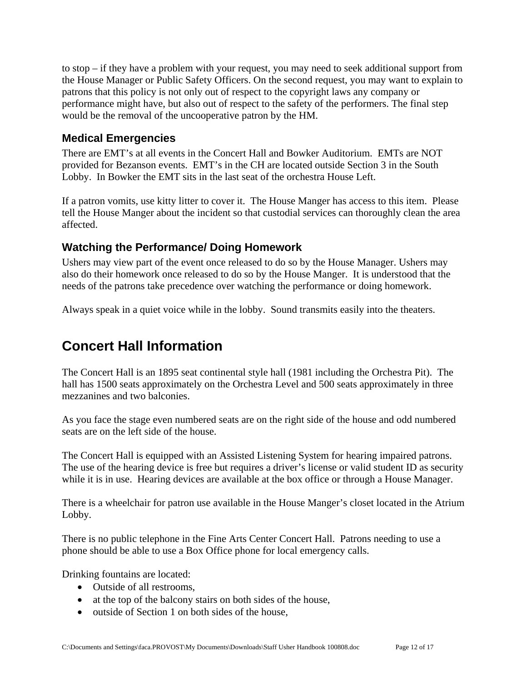to stop – if they have a problem with your request, you may need to seek additional support from the House Manager or Public Safety Officers. On the second request, you may want to explain to patrons that this policy is not only out of respect to the copyright laws any company or performance might have, but also out of respect to the safety of the performers. The final step would be the removal of the uncooperative patron by the HM.

### <span id="page-11-0"></span>**Medical Emergencies**

There are EMT's at all events in the Concert Hall and Bowker Auditorium. EMTs are NOT provided for Bezanson events. EMT's in the CH are located outside Section 3 in the South Lobby. In Bowker the EMT sits in the last seat of the orchestra House Left.

If a patron vomits, use kitty litter to cover it. The House Manger has access to this item. Please tell the House Manger about the incident so that custodial services can thoroughly clean the area affected.

### <span id="page-11-1"></span>**Watching the Performance/ Doing Homework**

Ushers may view part of the event once released to do so by the House Manager. Ushers may also do their homework once released to do so by the House Manger. It is understood that the needs of the patrons take precedence over watching the performance or doing homework.

Always speak in a quiet voice while in the lobby. Sound transmits easily into the theaters.

# <span id="page-11-2"></span>**Concert Hall Information**

The Concert Hall is an 1895 seat continental style hall (1981 including the Orchestra Pit). The hall has 1500 seats approximately on the Orchestra Level and 500 seats approximately in three mezzanines and two balconies.

As you face the stage even numbered seats are on the right side of the house and odd numbered seats are on the left side of the house.

The Concert Hall is equipped with an Assisted Listening System for hearing impaired patrons. The use of the hearing device is free but requires a driver's license or valid student ID as security while it is in use. Hearing devices are available at the box office or through a House Manager.

There is a wheelchair for patron use available in the House Manger's closet located in the Atrium Lobby.

There is no public telephone in the Fine Arts Center Concert Hall. Patrons needing to use a phone should be able to use a Box Office phone for local emergency calls.

Drinking fountains are located:

- Outside of all restrooms,
- at the top of the balcony stairs on both sides of the house,
- outside of Section 1 on both sides of the house,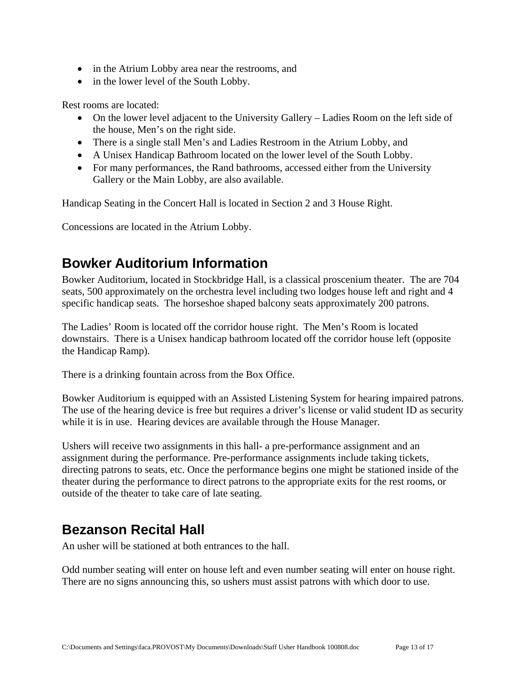- in the Atrium Lobby area near the restrooms, and
- in the lower level of the South Lobby.

Rest rooms are located:

- On the lower level adjacent to the University Gallery Ladies Room on the left side of the house, Men's on the right side.
- There is a single stall Men's and Ladies Restroom in the Atrium Lobby, and
- A Unisex Handicap Bathroom located on the lower level of the South Lobby.
- For many performances, the Rand bathrooms, accessed either from the University Gallery or the Main Lobby, are also available.

Handicap Seating in the Concert Hall is located in Section 2 and 3 House Right.

Concessions are located in the Atrium Lobby.

# <span id="page-12-0"></span>**Bowker Auditorium Information**

Bowker Auditorium, located in Stockbridge Hall, is a classical proscenium theater. The are 704 seats, 500 approximately on the orchestra level including two lodges house left and right and 4 specific handicap seats. The horseshoe shaped balcony seats approximately 200 patrons.

The Ladies' Room is located off the corridor house right. The Men's Room is located downstairs. There is a Unisex handicap bathroom located off the corridor house left (opposite the Handicap Ramp).

There is a drinking fountain across from the Box Office.

Bowker Auditorium is equipped with an Assisted Listening System for hearing impaired patrons. The use of the hearing device is free but requires a driver's license or valid student ID as security while it is in use. Hearing devices are available through the House Manager.

Ushers will receive two assignments in this hall- a pre-performance assignment and an assignment during the performance. Pre-performance assignments include taking tickets, directing patrons to seats, etc. Once the performance begins one might be stationed inside of the theater during the performance to direct patrons to the appropriate exits for the rest rooms, or outside of the theater to take care of late seating.

## <span id="page-12-1"></span>**Bezanson Recital Hall**

An usher will be stationed at both entrances to the hall.

Odd number seating will enter on house left and even number seating will enter on house right. There are no signs announcing this, so ushers must assist patrons with which door to use.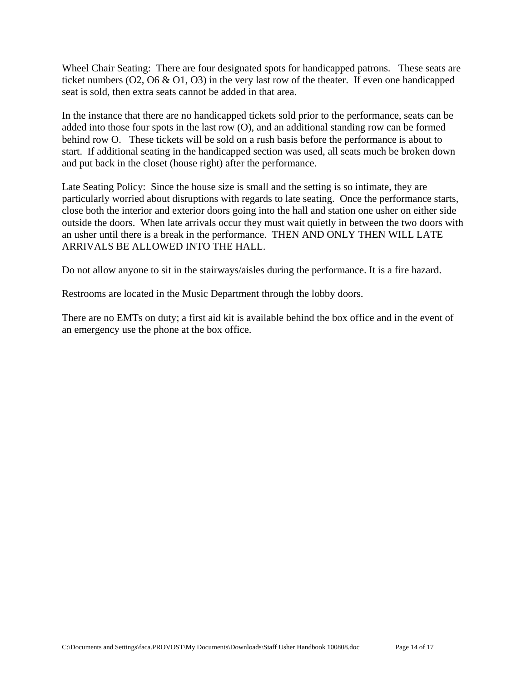Wheel Chair Seating: There are four designated spots for handicapped patrons. These seats are ticket numbers (O2, O6 & O1, O3) in the very last row of the theater. If even one handicapped seat is sold, then extra seats cannot be added in that area.

In the instance that there are no handicapped tickets sold prior to the performance, seats can be added into those four spots in the last row (O), and an additional standing row can be formed behind row O. These tickets will be sold on a rush basis before the performance is about to start. If additional seating in the handicapped section was used, all seats much be broken down and put back in the closet (house right) after the performance.

Late Seating Policy: Since the house size is small and the setting is so intimate, they are particularly worried about disruptions with regards to late seating. Once the performance starts, close both the interior and exterior doors going into the hall and station one usher on either side outside the doors. When late arrivals occur they must wait quietly in between the two doors with an usher until there is a break in the performance. THEN AND ONLY THEN WILL LATE ARRIVALS BE ALLOWED INTO THE HALL.

Do not allow anyone to sit in the stairways/aisles during the performance. It is a fire hazard.

Restrooms are located in the Music Department through the lobby doors.

There are no EMTs on duty; a first aid kit is available behind the box office and in the event of an emergency use the phone at the box office.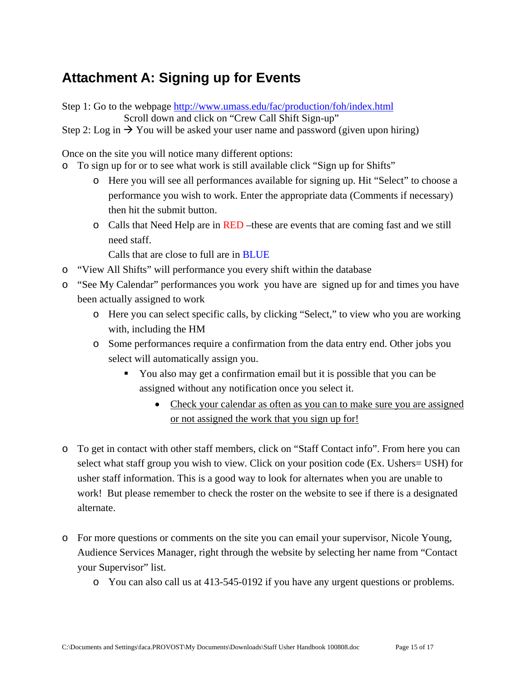# <span id="page-14-0"></span>**Attachment A: Signing up for Events**

Step 1: Go to the webpage <http://www.umass.edu/fac/production/foh/index.html> Scroll down and click on "Crew Call Shift Sign-up"

Step 2: Log in  $\rightarrow$  You will be asked your user name and password (given upon hiring)

Once on the site you will notice many different options:

- o To sign up for or to see what work is still available click "Sign up for Shifts"
	- o Here you will see all performances available for signing up. Hit "Select" to choose a performance you wish to work. Enter the appropriate data (Comments if necessary) then hit the submit button.
	- $\circ$  Calls that Need Help are in RED –these are events that are coming fast and we still need staff.

Calls that are close to full are in BLUE

- o "View All Shifts" will performance you every shift within the database
- o "See My Calendar" performances you work you have are signed up for and times you have been actually assigned to work
	- o Here you can select specific calls, by clicking "Select," to view who you are working with, including the HM
	- o Some performances require a confirmation from the data entry end. Other jobs you select will automatically assign you.
		- You also may get a confirmation email but it is possible that you can be assigned without any notification once you select it.
			- Check your calendar as often as you can to make sure you are assigned or not assigned the work that you sign up for!
- o To get in contact with other staff members, click on "Staff Contact info". From here you can select what staff group you wish to view. Click on your position code (Ex. Ushers= USH) for usher staff information. This is a good way to look for alternates when you are unable to work! But please remember to check the roster on the website to see if there is a designated alternate.
- o For more questions or comments on the site you can email your supervisor, Nicole Young, Audience Services Manager, right through the website by selecting her name from "Contact your Supervisor" list.
	- o You can also call us at 413-545-0192 if you have any urgent questions or problems.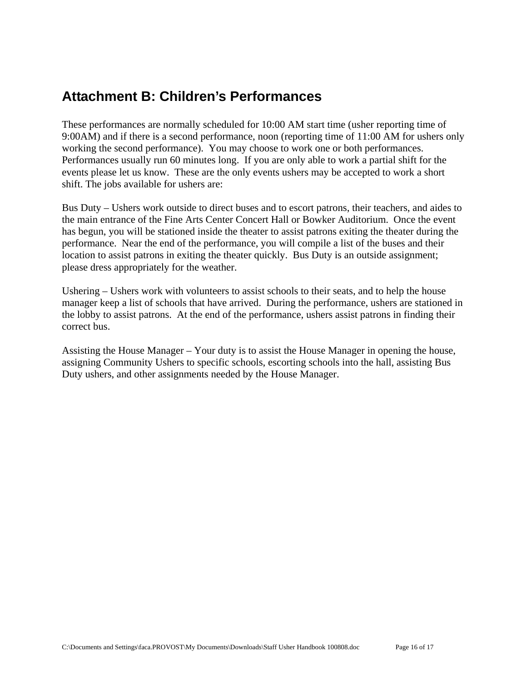# <span id="page-15-0"></span>**Attachment B: Children's Performances**

These performances are normally scheduled for 10:00 AM start time (usher reporting time of 9:00AM) and if there is a second performance, noon (reporting time of 11:00 AM for ushers only working the second performance). You may choose to work one or both performances. Performances usually run 60 minutes long. If you are only able to work a partial shift for the events please let us know. These are the only events ushers may be accepted to work a short shift. The jobs available for ushers are:

Bus Duty – Ushers work outside to direct buses and to escort patrons, their teachers, and aides to the main entrance of the Fine Arts Center Concert Hall or Bowker Auditorium. Once the event has begun, you will be stationed inside the theater to assist patrons exiting the theater during the performance. Near the end of the performance, you will compile a list of the buses and their location to assist patrons in exiting the theater quickly. Bus Duty is an outside assignment; please dress appropriately for the weather.

Ushering – Ushers work with volunteers to assist schools to their seats, and to help the house manager keep a list of schools that have arrived. During the performance, ushers are stationed in the lobby to assist patrons. At the end of the performance, ushers assist patrons in finding their correct bus.

Assisting the House Manager – Your duty is to assist the House Manager in opening the house, assigning Community Ushers to specific schools, escorting schools into the hall, assisting Bus Duty ushers, and other assignments needed by the House Manager.